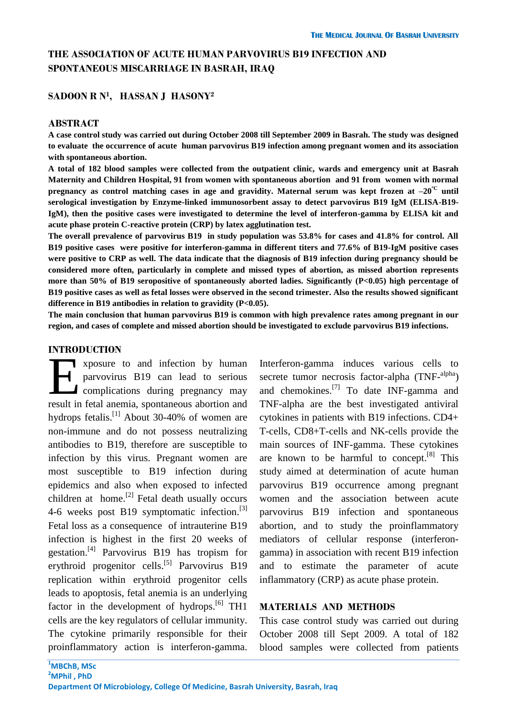# **THE ASSOCIATION OF ACUTE HUMAN PARVOVIRUS B19 INFECTION AND SPONTANEOUS MISCARRIAGE IN BASRAH, IRAQ**

### **SADOON R N<sup>1</sup> , HASSAN J HASONY<sup>2</sup>**

#### **ABSTRACT**

**A case control study was carried out during October 2008 till September 2009 in Basrah. The study was designed to evaluate the occurrence of acute human parvovirus B19 infection among pregnant women and its association with spontaneous abortion.**

**A total of 182 blood samples were collected from the outpatient clinic, wards and emergency unit at Basrah Maternity and Children Hospital, 91 from women with spontaneous abortion and 91 from women with normal pregnancy as control matching cases in age and gravidity. Maternal serum was kept frozen at**  $-20^{\circ}$  **until serological investigation by Enzyme-linked immunosorbent assay to detect parvovirus B19 IgM (ELISA-B19- IgM), then the positive cases were investigated to determine the level of interferon-gamma by ELISA kit and acute phase protein C-reactive protein (CRP) by latex agglutination test.**

**The overall prevalence of parvovirus B19 in study population was 53.8% for cases and 41.8% for control. All B19 positive cases were positive for interferon-gamma in different titers and 77.6% of B19-IgM positive cases were positive to CRP as well. The data indicate that the diagnosis of B19 infection during pregnancy should be considered more often, particularly in complete and missed types of abortion, as missed abortion represents more than 50% of B19 seropositive of spontaneously aborted ladies. Significantly (P<0.05) high percentage of B19 positive cases as well as fetal losses were observed in the second trimester. Also the results showed significant difference in B19 antibodies in relation to gravidity (P<0.05).**

**The main conclusion that human parvovirus B19 is common with high prevalence rates among pregnant in our region, and cases of complete and missed abortion should be investigated to exclude parvovirus B19 infections.**

### **INTRODUCTION**

**T** xposure to and infection by human parvovirus B19 can lead to serious complications during pregnancy may Exposure to and infection by human<br>parvovirus B19 can lead to serious<br>complications during pregnancy may<br>result in fetal anemia, spontaneous abortion and hydrops fetalis.<sup>[1]</sup> About 30-40% of women are non-immune and do not possess neutralizing antibodies to B19, therefore are susceptible to infection by this virus. Pregnant women are most susceptible to B19 infection during epidemics and also when exposed to infected children at home.<sup>[2]</sup> Fetal death usually occurs 4-6 weeks post B19 symptomatic infection.<sup>[3]</sup> Fetal loss as a consequence of intrauterine B19 infection is highest in the first 20 weeks of gestation. [4] Parvovirus B19 has tropism for erythroid progenitor cells.<sup>[5]</sup> Parvovirus B19 replication within erythroid progenitor cells leads to apoptosis, fetal anemia is an underlying factor in the development of hydrops.<sup>[6]</sup> TH1 cells are the key regulators of cellular immunity. The cytokine primarily responsible for their proinflammatory action is interferon-gamma.

Interferon-gamma induces various cells to secrete tumor necrosis factor-alpha (TNF-<sup>alpha</sup>) and chemokines.<sup>[7]</sup> To date INF-gamma and TNF-alpha are the best investigated antiviral cytokines in patients with B19 infections. CD4+ T-cells, CD8+T-cells and NK-cells provide the main sources of INF-gamma. These cytokines are known to be harmful to concept.<sup>[8]</sup> This study aimed at determination of acute human parvovirus B19 occurrence among pregnant women and the association between acute parvovirus B19 infection and spontaneous abortion, and to study the proinflammatory mediators of cellular response (interferongamma) in association with recent B19 infection and to estimate the parameter of acute inflammatory (CRP) as acute phase protein.

### **MATERIALS AND METHODS**

This case control study was carried out during October 2008 till Sept 2009. A total of 182 blood samples were collected from patients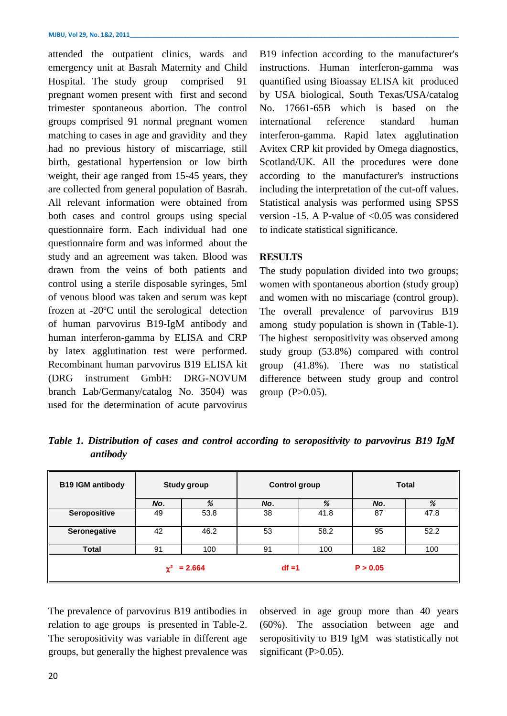attended the outpatient clinics, wards and emergency unit at Basrah Maternity and Child Hospital. The study group comprised 91 pregnant women present with first and second trimester spontaneous abortion. The control groups comprised 91 normal pregnant women matching to cases in age and gravidity and they had no previous history of miscarriage, still birth, gestational hypertension or low birth weight, their age ranged from 15-45 years, they are collected from general population of Basrah. All relevant information were obtained from both cases and control groups using special questionnaire form. Each individual had one questionnaire form and was informed about the study and an agreement was taken. Blood was drawn from the veins of both patients and control using a sterile disposable syringes, 5ml of venous blood was taken and serum was kept frozen at -20ºC until the serological detection of human parvovirus B19-IgM antibody and human interferon-gamma by ELISA and CRP by latex agglutination test were performed. Recombinant human parvovirus B19 ELISA kit (DRG instrument GmbH: DRG-NOVUM branch Lab/Germany/catalog No. 3504) was used for the determination of acute parvovirus

B19 infection according to the manufacturer's instructions. Human interferon-gamma was quantified using Bioassay ELISA kit produced by USA biological, South Texas/USA/catalog No. 17661-65B which is based on the international reference standard human interferon-gamma. Rapid latex agglutination Avitex CRP kit provided by Omega diagnostics, Scotland/UK. All the procedures were done according to the manufacturer's instructions including the interpretation of the cut-off values. Statistical analysis was performed using SPSS version -15. A P-value of  $< 0.05$  was considered to indicate statistical significance.

# **RESULTS**

The study population divided into two groups; women with spontaneous abortion (study group) and women with no miscariage (control group). The overall prevalence of parvovirus B19 among study population is shown in (Table-1). The highest seropositivity was observed among study group (53.8%) compared with control group (41.8%). There was no statistical difference between study group and control group  $(P>0.05)$ .

*Table 1. Distribution of cases and control according to seropositivity to parvovirus B19 IgM antibody* 

| <b>B19 IGM antibody</b> | <b>Study group</b> |                  |          | <b>Control group</b> | <b>Total</b> |      |  |
|-------------------------|--------------------|------------------|----------|----------------------|--------------|------|--|
|                         | No.                | %                | No.      | %                    | No.          | %    |  |
| <b>Seropositive</b>     | 49                 | 53.8             | 38       | 41.8                 | 87           | 47.8 |  |
| Seronegative            | 42                 | 46.2             | 53       | 58.2                 | 95           | 52.2 |  |
| <b>Total</b>            | 91                 | 100              | 91       | 100                  | 182          | 100  |  |
|                         |                    | $\chi^2$ = 2.664 | $df = 1$ |                      | P > 0.05     |      |  |

The prevalence of parvovirus B19 antibodies in relation to age groups is presented in Table-2. The seropositivity was variable in different age groups, but generally the highest prevalence was observed in age group more than 40 years (60%). The association between age and seropositivity to B19 IgM was statistically not significant  $(P>0.05)$ .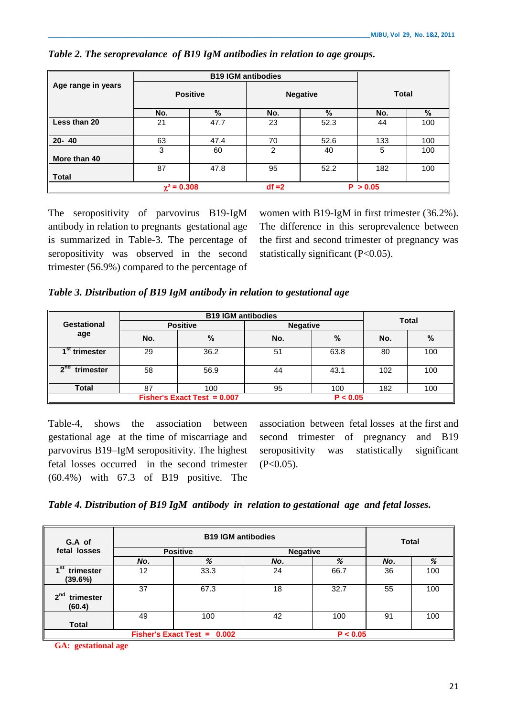|                    |                    |      | <b>B19 IGM antibodies</b> |      |              |      |
|--------------------|--------------------|------|---------------------------|------|--------------|------|
| Age range in years | <b>Positive</b>    |      | <b>Negative</b>           |      | <b>Total</b> |      |
|                    | No.                | $\%$ | No.                       | %    | No.          | $\%$ |
| Less than 20       | 21                 | 47.7 | 23                        | 52.3 | 44           | 100  |
| $20 - 40$          | 63                 | 47.4 | 70                        | 52.6 | 133          | 100  |
| More than 40       | 3                  | 60   | 2                         | 40   | 5            | 100  |
| <b>Total</b>       | 87                 | 47.8 | 95                        | 52.2 | 182          | 100  |
|                    | $\gamma^2$ = 0.308 |      | $df = 2$                  |      | P > 0.05     |      |

### *Table 2. The seroprevalance of B19 IgM antibodies in relation to age groups.*

The seropositivity of parvovirus B19-IgM antibody in relation to pregnants gestational age is summarized in Table-3. The percentage of seropositivity was observed in the second trimester (56.9%) compared to the percentage of

women with B19-IgM in first trimester (36.2%). The difference in this seroprevalence between the first and second trimester of pregnancy was statistically significant (P<0.05).

*Table 3. Distribution of B19 IgM antibody in relation to gestational age*

|                           |     | <b>Total</b>                                    |                 |               |     |      |
|---------------------------|-----|-------------------------------------------------|-----------------|---------------|-----|------|
| <b>Gestational</b>        |     | <b>Positive</b>                                 | <b>Negative</b> |               |     |      |
| age                       | No. | $\%$                                            | No.             | $\frac{0}{0}$ | No. | $\%$ |
| 1 <sup>st</sup> trimester | 29  | 36.2                                            | 51              | 63.8          | 80  | 100  |
| എ¤<br>trimester           | 58  | 56.9                                            | 44              | 43.1          | 102 | 100  |
| <b>Total</b>              | 87  | 100                                             | 95              | 100           | 182 | 100  |
|                           |     | <b>Fisher's Exact Test = <math>0.007</math></b> |                 | P < 0.05      |     |      |

Table-4, shows the association between gestational age at the time of miscarriage and parvovirus B19–IgM seropositivity. The highest fetal losses occurred in the second trimester (60.4%) with 67.3 of B19 positive. The

association between fetal losses at the first and second trimester of pregnancy and B19 seropositivity was statistically significant  $(P<0.05)$ .

|  | Table 4. Distribution of B19 IgM antibody in relation to gestational age and fetal losses. |  |
|--|--------------------------------------------------------------------------------------------|--|
|  |                                                                                            |  |

| G.A of                                 |                 | <b>Total</b>                |                 |          |     |     |
|----------------------------------------|-----------------|-----------------------------|-----------------|----------|-----|-----|
| fetal losses                           | <b>Positive</b> |                             | <b>Negative</b> |          |     |     |
|                                        | No.             | %                           | No.             | %        | No. | %   |
| ı St<br>trimester<br>(39.6%)           | 12              | 33.3                        | 24              | 66.7     | 36  | 100 |
| 2 <sup>nd</sup><br>trimester<br>(60.4) | 37              | 67.3                        | 18              | 32.7     | 55  | 100 |
| <b>Total</b>                           | 49              | 100                         | 42              | 100      | 91  | 100 |
|                                        |                 | Fisher's Exact Test = 0.002 |                 | P < 0.05 |     |     |

 **GA: gestational age**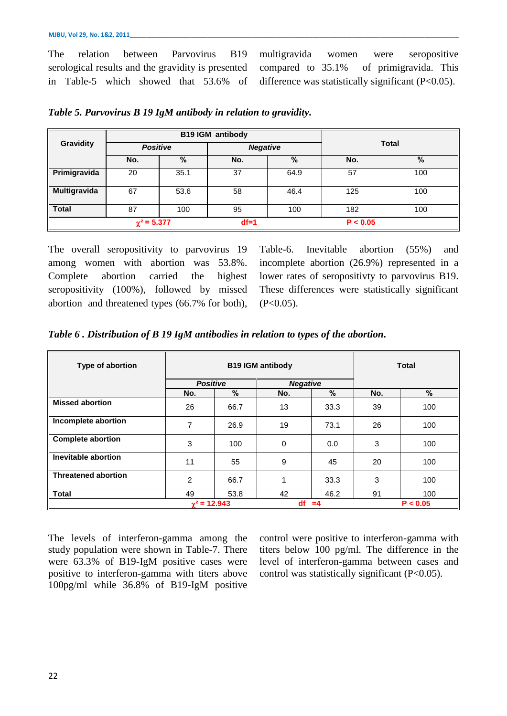The relation between Parvovirus B19 serological results and the gravidity is presented in Table-5 which showed that 53.6% of multigravida women were seropositive compared to 35.1% of primigravida. This difference was statistically significant (P<0.05).

|                  |                  | <b>B19 IGM antibody</b>            |        |              |          |     |
|------------------|------------------|------------------------------------|--------|--------------|----------|-----|
| <b>Gravidity</b> |                  | <b>Positive</b><br><b>Negative</b> |        | <b>Total</b> |          |     |
|                  | No.              | %                                  | No.    | %            | No.      | %   |
| Primigravida     | 20               | 35.1                               | 37     | 64.9         | 57       | 100 |
| Multigravida     | 67               | 53.6                               | 58     | 46.4         | 125      | 100 |
| <b>Total</b>     | 87               | 100                                | 95     | 100          | 182      | 100 |
|                  | $\chi^2$ = 5.377 |                                    | $df=1$ |              | P < 0.05 |     |

| Table 5. Parvovirus B 19 IgM antibody in relation to gravidity. |  |  |  |  |  |  |
|-----------------------------------------------------------------|--|--|--|--|--|--|
|-----------------------------------------------------------------|--|--|--|--|--|--|

The overall seropositivity to parvovirus 19 among women with abortion was 53.8%. Complete abortion carried the highest seropositivity (100%), followed by missed abortion and threatened types (66.7% for both), Table-6. Inevitable abortion (55%) and incomplete abortion (26.9%) represented in a lower rates of seropositivty to parvovirus B19. These differences were statistically significant  $(P<0.05)$ .

|  | Table 6. Distribution of B 19 IgM antibodies in relation to types of the abortion. |  |  |  |  |  |  |  |  |
|--|------------------------------------------------------------------------------------|--|--|--|--|--|--|--|--|
|--|------------------------------------------------------------------------------------|--|--|--|--|--|--|--|--|

| Type of abortion           |                     | <b>B19 IGM antibody</b> | <b>Total</b> |                 |     |          |  |
|----------------------------|---------------------|-------------------------|--------------|-----------------|-----|----------|--|
|                            | <b>Positive</b>     |                         |              | <b>Negative</b> |     |          |  |
|                            | No.                 | $\%$                    | No.          | %               | No. | $\%$     |  |
| <b>Missed abortion</b>     | 26                  | 66.7                    | 13           | 33.3            | 39  | 100      |  |
| Incomplete abortion        | 7                   | 26.9                    | 19           | 73.1            | 26  | 100      |  |
| <b>Complete abortion</b>   | 3                   | 100                     | $\mathbf 0$  | 0.0             | 3   | 100      |  |
| Inevitable abortion        | 11                  | 55                      | 9            | 45              | 20  | 100      |  |
| <b>Threatened abortion</b> | 2                   | 66.7                    | 1            | 33.3            | 3   | 100      |  |
| <b>Total</b>               | 49                  | 53.8                    | 42           | 46.2            | 91  | 100      |  |
|                            | $\gamma^2$ = 12.943 |                         | df           | $=4$            |     | P < 0.05 |  |

The levels of interferon-gamma among the study population were shown in Table-7. There were 63.3% of B19-IgM positive cases were positive to interferon-gamma with titers above 100pg/ml while 36.8% of B19-IgM positive

control were positive to interferon-gamma with titers below 100 pg/ml. The difference in the level of interferon-gamma between cases and control was statistically significant (P<0.05).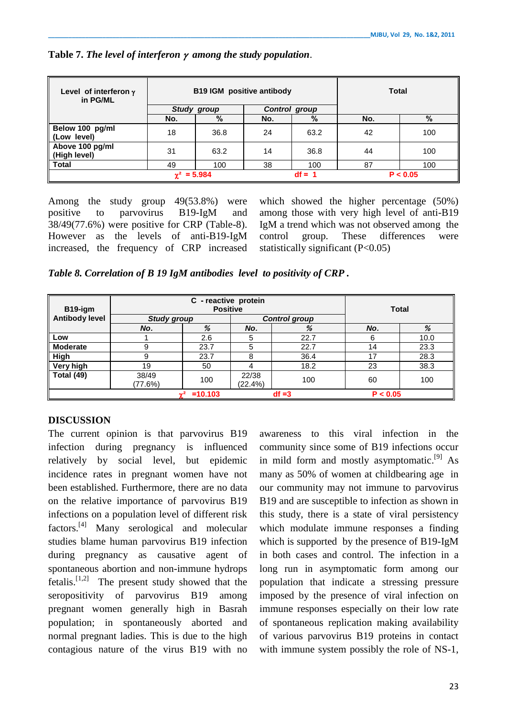| Level of interferon $\gamma$<br>in PG/ML |                    | <b>B19 IGM</b> positive antibody |     | Total              |     |     |
|------------------------------------------|--------------------|----------------------------------|-----|--------------------|-----|-----|
|                                          |                    | <b>Study group</b>               |     |                    |     |     |
|                                          | No.                | %                                | No. | Control group<br>% | No. | %   |
| Below 100 pg/ml<br>(Low level)           | 18                 | 36.8                             | 24  | 63.2               | 42  | 100 |
| Above 100 pg/ml<br>High level)           | 31                 | 63.2                             | 14  | 36.8               | 44  | 100 |
| l Total                                  | 49                 | 100                              | 38  | 100                | 87  | 100 |
|                                          | $\gamma^2 = 5.984$ |                                  |     | P < 0.05           |     |     |

### **Table 7.** *The level of interferon* *among the study population*.

Among the study group 49(53.8%) were positive to parvovirus B19-IgM and 38/49(77.6%) were positive for CRP (Table-8). However as the levels of anti-B19-IgM increased, the frequency of CRP increased which showed the higher percentage (50%) among those with very high level of anti-B19 IgM a trend which was not observed among the control group. These differences were statistically significant (P<0.05)

*Table 8. Correlation of B 19 IgM antibodies level to positivity of CRP .*

| B19-igm               |                  |                    | <b>Total</b>        |                      |    |      |
|-----------------------|------------------|--------------------|---------------------|----------------------|----|------|
| <b>Antibody level</b> |                  | <b>Study group</b> |                     | <b>Control group</b> |    |      |
|                       | No.              | %<br>%<br>No.      |                     | No.                  | %  |      |
| Low                   |                  | 2.6                | 5                   | 22.7                 | 6  | 10.0 |
| <b>Moderate</b>       | 9                | 23.7               | 5                   | 22.7                 | 14 | 23.3 |
| High                  | 9                | 23.7               | 8                   | 36.4                 | 17 | 28.3 |
| Very high             | 19               | 50                 |                     | 18.2                 | 23 | 38.3 |
| Total (49)            | 38/49<br>(77.6%) | 100                | 22/38<br>$(22.4\%)$ | 100                  | 60 | 100  |
|                       | $\sim$ 2         | $df = 3$           | P < 0.05            |                      |    |      |

# **DISCUSSION**

The current opinion is that parvovirus B19 infection during pregnancy is influenced relatively by social level, but epidemic incidence rates in pregnant women have not been established. Furthermore, there are no data on the relative importance of parvovirus B19 infections on a population level of different risk factors.<sup>[4]</sup> Many serological and molecular studies blame human parvovirus B19 infection during pregnancy as causative agent of spontaneous abortion and non-immune hydrops fetalis.<sup>[1,2]</sup> The present study showed that the seropositivity of parvovirus B19 among pregnant women generally high in Basrah population; in spontaneously aborted and normal pregnant ladies. This is due to the high contagious nature of the virus B19 with no

awareness to this viral infection in the community since some of B19 infections occur in mild form and mostly asymptomatic.<sup>[9]</sup> As many as 50% of women at childbearing age in our community may not immune to parvovirus B19 and are susceptible to infection as shown in this study, there is a state of viral persistency which modulate immune responses a finding which is supported by the presence of B19-IgM in both cases and control. The infection in a long run in asymptomatic form among our population that indicate a stressing pressure imposed by the presence of viral infection on immune responses especially on their low rate of spontaneous replication making availability of various parvovirus B19 proteins in contact with immune system possibly the role of NS-1,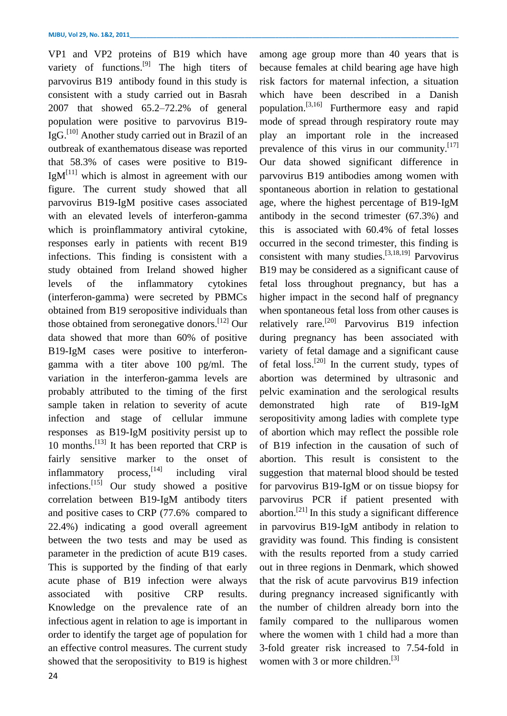VP1 and VP2 proteins of B19 which have variety of functions.<sup>[9]</sup> The high titers of parvovirus B19 antibody found in this study is consistent with a study carried out in Basrah 2007 that showed 65.2–72.2% of general population were positive to parvovirus B19- IgG.<sup>[10]</sup> Another study carried out in Brazil of an outbreak of exanthematous disease was reported that 58.3% of cases were positive to B19-  $IgM^{[11]}$  which is almost in agreement with our figure. The current study showed that all parvovirus B19-IgM positive cases associated with an elevated levels of interferon-gamma which is proinflammatory antiviral cytokine, responses early in patients with recent B19 infections. This finding is consistent with a study obtained from Ireland showed higher levels of the inflammatory cytokines (interferon-gamma) were secreted by PBMCs obtained from B19 seropositive individuals than those obtained from seronegative donors.<sup>[12]</sup> Our data showed that more than 60% of positive B19-IgM cases were positive to interferongamma with a titer above 100 pg/ml. The variation in the interferon-gamma levels are probably attributed to the timing of the first sample taken in relation to severity of acute infection and stage of cellular immune responses as B19-IgM positivity persist up to 10 months.<sup>[13]</sup> It has been reported that CRP is fairly sensitive marker to the onset of inflammatory [14] including viral infections.<sup>[15]</sup> Our study showed a positive correlation between B19-IgM antibody titers and positive cases to CRP (77.6% compared to 22.4%) indicating a good overall agreement between the two tests and may be used as parameter in the prediction of acute B19 cases. This is supported by the finding of that early acute phase of B19 infection were always associated with positive CRP results. Knowledge on the prevalence rate of an infectious agent in relation to age is important in order to identify the target age of population for an effective control measures. The current study showed that the seropositivity to B19 is highest

because females at child bearing age have high risk factors for maternal infection, a situation which have been described in a Danish population.<sup>[3,16]</sup> Furthermore easy and rapid mode of spread through respiratory route may play an important role in the increased prevalence of this virus in our community.<sup>[17]</sup> Our data showed significant difference in parvovirus B19 antibodies among women with spontaneous abortion in relation to gestational age, where the highest percentage of B19-IgM antibody in the second trimester (67.3%) and this is associated with 60.4% of fetal losses occurred in the second trimester, this finding is consistent with many studies.<sup>[3,18,19]</sup> Parvovirus B19 may be considered as a significant cause of fetal loss throughout pregnancy, but has a higher impact in the second half of pregnancy when spontaneous fetal loss from other causes is relatively rare.<sup>[20]</sup> Parvovirus B19 infection during pregnancy has been associated with variety of fetal damage and a significant cause of fetal  $loss$ .<sup>[20]</sup> In the current study, types of abortion was determined by ultrasonic and pelvic examination and the serological results demonstrated high rate of B19-IgM seropositivity among ladies with complete type of abortion which may reflect the possible role of B19 infection in the causation of such of abortion. This result is consistent to the suggestion that maternal blood should be tested for parvovirus B19-IgM or on tissue biopsy for parvovirus PCR if patient presented with abortion.<sup>[21]</sup> In this study a significant difference in parvovirus B19-IgM antibody in relation to gravidity was found. This finding is consistent with the results reported from a study carried out in three regions in Denmark, which showed that the risk of acute parvovirus B19 infection during pregnancy increased significantly with the number of children already born into the family compared to the nulliparous women where the women with 1 child had a more than 3-fold greater risk increased to 7.54-fold in women with 3 or more children.<sup>[3]</sup>

among age group more than 40 years that is